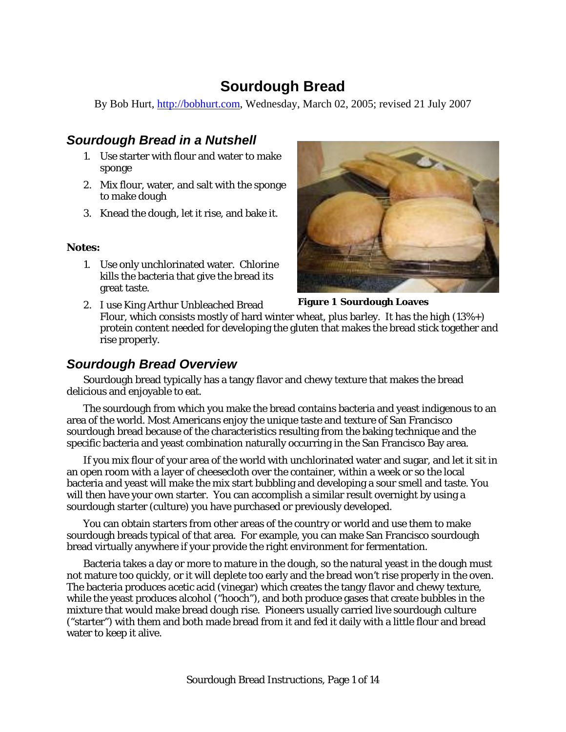# **Sourdough Bread**

By Bob Hurt, [http://bobhurt.com,](http://bobhurt.com/) Wednesday, March 02, 2005; revised 21 July 2007

### *Sourdough Bread in a Nutshell*

- 1. Use starter with flour and water to make sponge
- 2. Mix flour, water, and salt with the sponge to make dough
- 3. Knead the dough, let it rise, and bake it.

#### **Notes:**

1. Use only unchlorinated water. Chlorine kills the bacteria that give the bread its great taste.



**Figure 1 Sourdough Loaves** 

2. I use King Arthur Unbleached Bread Flour, which consists mostly of hard winter wheat, plus barley. It has the high  $(13\%+)$ protein content needed for developing the gluten that makes the bread stick together and rise properly.

### *Sourdough Bread Overview*

Sourdough bread typically has a tangy flavor and chewy texture that makes the bread delicious and enjoyable to eat.

The sourdough from which you make the bread contains bacteria and yeast indigenous to an area of the world. Most Americans enjoy the unique taste and texture of San Francisco sourdough bread because of the characteristics resulting from the baking technique and the specific bacteria and yeast combination naturally occurring in the San Francisco Bay area.

If you mix flour of your area of the world with unchlorinated water and sugar, and let it sit in an open room with a layer of cheesecloth over the container, within a week or so the local bacteria and yeast will make the mix start bubbling and developing a sour smell and taste. You will then have your own starter. You can accomplish a similar result overnight by using a sourdough starter (culture) you have purchased or previously developed.

You can obtain starters from other areas of the country or world and use them to make sourdough breads typical of that area. For example, you can make San Francisco sourdough bread virtually anywhere if your provide the right environment for fermentation.

Bacteria takes a day or more to mature in the dough, so the natural yeast in the dough must not mature too quickly, or it will deplete too early and the bread won't rise properly in the oven. The bacteria produces acetic acid (vinegar) which creates the tangy flavor and chewy texture, while the yeast produces alcohol ("hooch"), and both produce gases that create bubbles in the mixture that would make bread dough rise. Pioneers usually carried live sourdough culture ("starter") with them and both made bread from it and fed it daily with a little flour and bread water to keep it alive.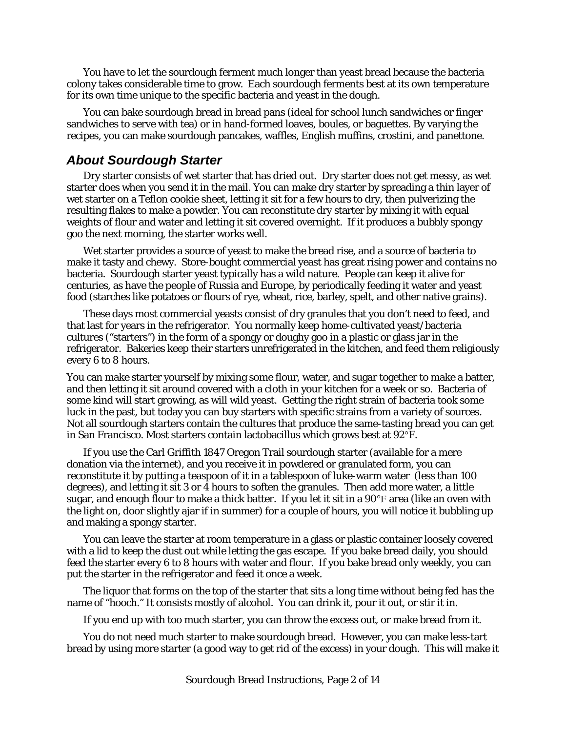You have to let the sourdough ferment much longer than yeast bread because the bacteria colony takes considerable time to grow. Each sourdough ferments best at its own temperature for its own time unique to the specific bacteria and yeast in the dough.

You can bake sourdough bread in bread pans (ideal for school lunch sandwiches or finger sandwiches to serve with tea) or in hand-formed loaves, boules, or baguettes. By varying the recipes, you can make sourdough pancakes, waffles, English muffins, crostini, and panettone.

#### *About Sourdough Starter*

Dry starter consists of wet starter that has dried out. Dry starter does not get messy, as wet starter does when you send it in the mail. You can make dry starter by spreading a thin layer of wet starter on a Teflon cookie sheet, letting it sit for a few hours to dry, then pulverizing the resulting flakes to make a powder. You can reconstitute dry starter by mixing it with equal weights of flour and water and letting it sit covered overnight. If it produces a bubbly spongy goo the next morning, the starter works well.

Wet starter provides a source of yeast to make the bread rise, and a source of bacteria to make it tasty and chewy. Store-bought commercial yeast has great rising power and contains no bacteria. Sourdough starter yeast typically has a wild nature. People can keep it alive for centuries, as have the people of Russia and Europe, by periodically feeding it water and yeast food (starches like potatoes or flours of rye, wheat, rice, barley, spelt, and other native grains).

These days most commercial yeasts consist of dry granules that you don't need to feed, and that last for years in the refrigerator. You normally keep home-cultivated yeast/bacteria cultures ("starters") in the form of a spongy or doughy goo in a plastic or glass jar in the refrigerator. Bakeries keep their starters unrefrigerated in the kitchen, and feed them religiously every 6 to 8 hours.

You can make starter yourself by mixing some flour, water, and sugar together to make a batter, and then letting it sit around covered with a cloth in your kitchen for a week or so. Bacteria of some kind will start growing, as will wild yeast. Getting the right strain of bacteria took some luck in the past, but today you can buy starters with specific strains from a variety of sources. Not all sourdough starters contain the cultures that produce the same-tasting bread you can get in San Francisco. Most starters contain lactobacillus which grows best at 92°F.

If you use the Carl Griffith 1847 Oregon Trail sourdough starter (available for a mere donation via the internet), and you receive it in powdered or granulated form, you can reconstitute it by putting a teaspoon of it in a tablespoon of luke-warm water (less than 100 degrees), and letting it sit 3 or 4 hours to soften the granules. Then add more water, a little sugar, and enough flour to make a thick batter. If you let it sit in a  $90^{\circ}$ F area (like an oven with the light on, door slightly ajar if in summer) for a couple of hours, you will notice it bubbling up and making a spongy starter.

You can leave the starter at room temperature in a glass or plastic container loosely covered with a lid to keep the dust out while letting the gas escape. If you bake bread daily, you should feed the starter every 6 to 8 hours with water and flour. If you bake bread only weekly, you can put the starter in the refrigerator and feed it once a week.

The liquor that forms on the top of the starter that sits a long time without being fed has the name of "hooch." It consists mostly of alcohol. You can drink it, pour it out, or stir it in.

If you end up with too much starter, you can throw the excess out, or make bread from it.

You do not need much starter to make sourdough bread. However, you can make less-tart bread by using more starter (a good way to get rid of the excess) in your dough. This will make it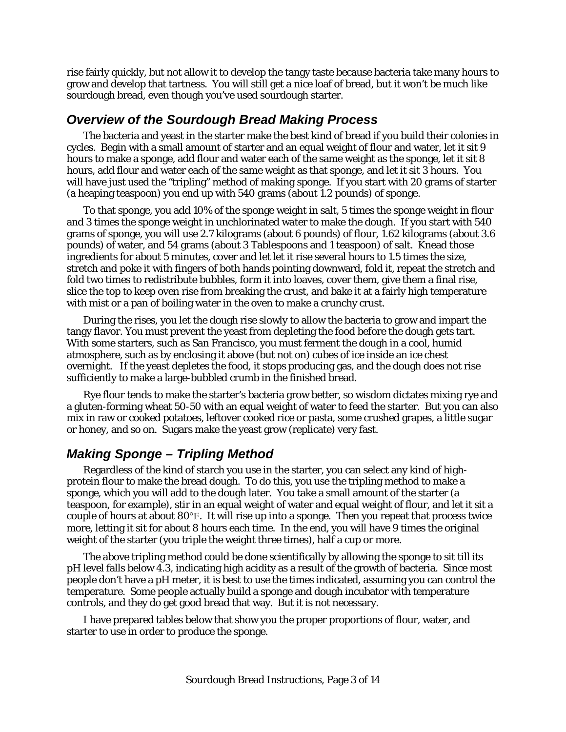rise fairly quickly, but not allow it to develop the tangy taste because bacteria take many hours to grow and develop that tartness. You will still get a nice loaf of bread, but it won't be much like sourdough bread, even though you've used sourdough starter.

#### *Overview of the Sourdough Bread Making Process*

The bacteria and yeast in the starter make the best kind of bread if you build their colonies in cycles. Begin with a small amount of starter and an equal weight of flour and water, let it sit 9 hours to make a sponge, add flour and water each of the same weight as the sponge, let it sit 8 hours, add flour and water each of the same weight as that sponge, and let it sit 3 hours. You will have just used the "tripling" method of making sponge. If you start with 20 grams of starter (a heaping teaspoon) you end up with 540 grams (about 1.2 pounds) of sponge.

To that sponge, you add 10% of the sponge weight in salt, 5 times the sponge weight in flour and 3 times the sponge weight in unchlorinated water to make the dough. If you start with 540 grams of sponge, you will use 2.7 kilograms (about 6 pounds) of flour, 1.62 kilograms (about 3.6 pounds) of water, and 54 grams (about 3 Tablespoons and 1 teaspoon) of salt. Knead those ingredients for about 5 minutes, cover and let let it rise several hours to 1.5 times the size, stretch and poke it with fingers of both hands pointing downward, fold it, repeat the stretch and fold two times to redistribute bubbles, form it into loaves, cover them, give them a final rise, slice the top to keep oven rise from breaking the crust, and bake it at a fairly high temperature with mist or a pan of boiling water in the oven to make a crunchy crust.

During the rises, you let the dough rise slowly to allow the bacteria to grow and impart the tangy flavor. You must prevent the yeast from depleting the food before the dough gets tart. With some starters, such as San Francisco, you must ferment the dough in a cool, humid atmosphere, such as by enclosing it above (but not on) cubes of ice inside an ice chest overnight. If the yeast depletes the food, it stops producing gas, and the dough does not rise sufficiently to make a large-bubbled crumb in the finished bread.

Rye flour tends to make the starter's bacteria grow better, so wisdom dictates mixing rye and a gluten-forming wheat 50-50 with an equal weight of water to feed the starter. But you can also mix in raw or cooked potatoes, leftover cooked rice or pasta, some crushed grapes, a little sugar or honey, and so on. Sugars make the yeast grow (replicate) very fast.

### *Making Sponge – Tripling Method*

Regardless of the kind of starch you use in the starter, you can select any kind of highprotein flour to make the bread dough. To do this, you use the tripling method to make a sponge, which you will add to the dough later. You take a small amount of the starter (a teaspoon, for example), stir in an equal weight of water and equal weight of flour, and let it sit a couple of hours at about 80°F. It will rise up into a sponge. Then you repeat that process twice more, letting it sit for about 8 hours each time. In the end, you will have 9 times the original weight of the starter (you triple the weight three times), half a cup or more.

The above tripling method could be done scientifically by allowing the sponge to sit till its pH level falls below 4.3, indicating high acidity as a result of the growth of bacteria. Since most people don't have a pH meter, it is best to use the times indicated, assuming you can control the temperature. Some people actually build a sponge and dough incubator with temperature controls, and they do get good bread that way. But it is not necessary.

I have prepared tables below that show you the proper proportions of flour, water, and starter to use in order to produce the sponge.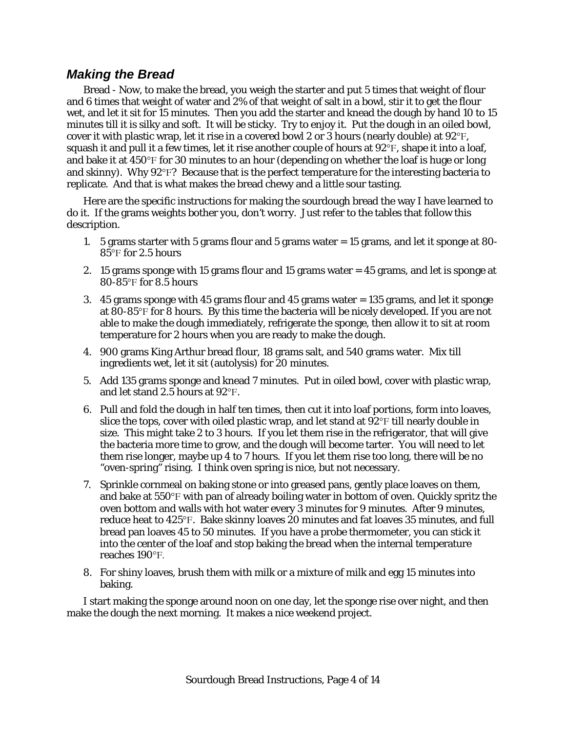#### *Making the Bread*

Bread - Now, to make the bread, you weigh the starter and put 5 times that weight of flour and 6 times that weight of water and 2% of that weight of salt in a bowl, stir it to get the flour wet, and let it sit for 15 minutes. Then you add the starter and knead the dough by hand 10 to 15 minutes till it is silky and soft. It will be sticky. Try to enjoy it. Put the dough in an oiled bowl, cover it with plastic wrap, let it rise in a covered bowl 2 or 3 hours (nearly double) at 92°F, squash it and pull it a few times, let it rise another couple of hours at 92°F, shape it into a loaf, and bake it at  $450^{\circ}$  f for 30 minutes to an hour (depending on whether the loaf is huge or long and skinny). Why 92°F? Because that is the perfect temperature for the interesting bacteria to replicate. And that is what makes the bread chewy and a little sour tasting.

Here are the specific instructions for making the sourdough bread the way I have learned to do it. If the grams weights bother you, don't worry. Just refer to the tables that follow this description.

- 1. 5 grams starter with 5 grams flour and 5 grams water = 15 grams, and let it sponge at 80- 85°F for 2.5 hours
- 2. 15 grams sponge with 15 grams flour and 15 grams water = 45 grams, and let is sponge at 80-85°F for 8.5 hours
- 3. 45 grams sponge with 45 grams flour and 45 grams water = 135 grams, and let it sponge at 80-85°F for 8 hours. By this time the bacteria will be nicely developed. If you are not able to make the dough immediately, refrigerate the sponge, then allow it to sit at room temperature for 2 hours when you are ready to make the dough.
- 4. 900 grams King Arthur bread flour, 18 grams salt, and 540 grams water. Mix till ingredients wet, let it sit (autolysis) for 20 minutes.
- 5. Add 135 grams sponge and knead 7 minutes. Put in oiled bowl, cover with plastic wrap, and let stand 2.5 hours at 92°F.
- 6. Pull and fold the dough in half ten times, then cut it into loaf portions, form into loaves, slice the tops, cover with oiled plastic wrap, and let stand at  $92^{\circ}$ F till nearly double in size. This might take 2 to 3 hours. If you let them rise in the refrigerator, that will give the bacteria more time to grow, and the dough will become tarter. You will need to let them rise longer, maybe up 4 to 7 hours. If you let them rise too long, there will be no "oven-spring" rising. I think oven spring is nice, but not necessary.
- 7. Sprinkle cornmeal on baking stone or into greased pans, gently place loaves on them, and bake at 550°F with pan of already boiling water in bottom of oven. Quickly spritz the oven bottom and walls with hot water every 3 minutes for 9 minutes. After 9 minutes, reduce heat to 425°F. Bake skinny loaves 20 minutes and fat loaves 35 minutes, and full bread pan loaves 45 to 50 minutes. If you have a probe thermometer, you can stick it into the center of the loaf and stop baking the bread when the internal temperature reaches 190°F.
- 8. For shiny loaves, brush them with milk or a mixture of milk and egg 15 minutes into baking.

I start making the sponge around noon on one day, let the sponge rise over night, and then make the dough the next morning. It makes a nice weekend project.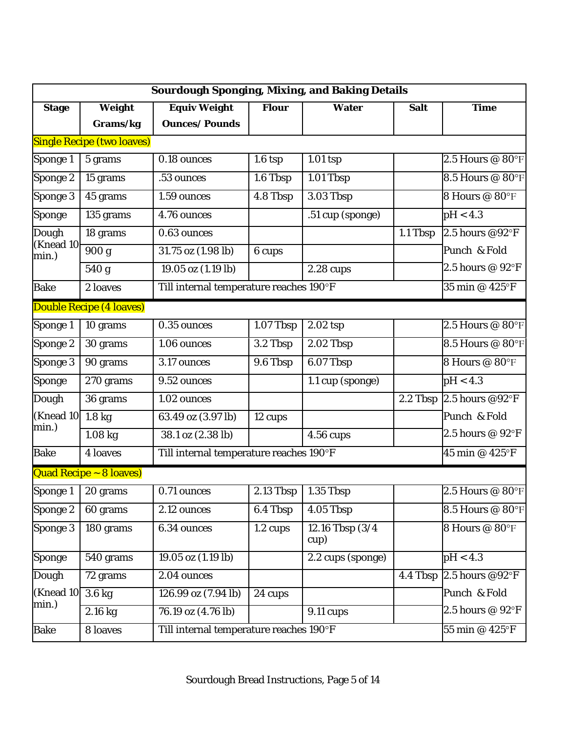| <b>Sourdough Sponging, Mixing, and Baking Details</b> |                                   |                                         |                      |                               |             |                               |  |  |  |  |
|-------------------------------------------------------|-----------------------------------|-----------------------------------------|----------------------|-------------------------------|-------------|-------------------------------|--|--|--|--|
| <b>Stage</b>                                          | Weight                            | <b>Equiv Weight</b>                     | <b>Flour</b>         | <b>Water</b>                  | <b>Salt</b> | <b>Time</b>                   |  |  |  |  |
|                                                       | Grams/kg                          | <b>Ounces/Pounds</b>                    |                      |                               |             |                               |  |  |  |  |
|                                                       | <b>Single Recipe (two loaves)</b> |                                         |                      |                               |             |                               |  |  |  |  |
| Sponge 1                                              | 5 grams                           | 0.18 ounces                             | 1.6 <sub>top</sub>   | $1.01$ tsp                    |             | 2.5 Hours $@$ 80°F            |  |  |  |  |
| Sponge 2                                              | 15 grams                          | .53 ounces                              | 1.6 Tbsp             | 1.01 Tbsp                     |             | 8.5 Hours @ 80°F              |  |  |  |  |
| Sponge 3                                              | 45 grams                          | 1.59 ounces                             | 4.8 Tbsp             | $3.03$ Tbsp                   |             | 8 Hours @ 80°F                |  |  |  |  |
| <b>Sponge</b>                                         | 135 grams                         | 4.76 ounces                             |                      | .51 cup (sponge)              |             | pH < 4.3                      |  |  |  |  |
| <b>Dough</b>                                          | 18 grams                          | $0.63$ ounces                           |                      |                               | 1.1 Tbsp    | 2.5 hours @92 $\textdegree$ F |  |  |  |  |
| (Knead 10<br>min.)                                    | $\overline{900}$ g                | 31.75 oz (1.98 lb)                      | 6 cups               |                               |             | Punch & Fold                  |  |  |  |  |
|                                                       | 540 g                             | 19.05 oz (1.19 lb)                      |                      | 2.28 cups                     |             | 2.5 hours @ 92°F              |  |  |  |  |
| <b>Bake</b>                                           | 2 loaves                          | Till internal temperature reaches 190°F | 35 min @ 425°F       |                               |             |                               |  |  |  |  |
|                                                       | <b>Double Recipe (4 loaves)</b>   |                                         |                      |                               |             |                               |  |  |  |  |
| Sponge 1                                              | 10 grams                          | $0.35$ ounces                           | 1.07 Tbsp            | $2.02$ tsp                    |             | 2.5 Hours @ 80°F              |  |  |  |  |
| <b>Sponge 2</b>                                       | 30 grams                          | 1.06 ounces                             | 3.2 Tbsp             | 2.02 Tbsp                     |             | 8.5 Hours @ 80°F              |  |  |  |  |
| Sponge 3                                              | 90 grams                          | 3.17 ounces                             | 9.6 Tbsp             | $6.07$ Tbsp                   |             | 8 Hours @ 80°F                |  |  |  |  |
| <b>Sponge</b>                                         | 270 grams                         | 9.52 ounces                             |                      | $\overline{1.1}$ cup (sponge) |             | pH < 4.3                      |  |  |  |  |
| Dough                                                 | 36 grams                          | 1.02 ounces                             |                      |                               | 2.2 Thsp    | 2.5 hours @92°F               |  |  |  |  |
| (Knead 10<br>min.)                                    | 1.8 <sub>kg</sub>                 | 63.49 oz (3.97 lb)                      | $\overline{1}2$ cups |                               |             | Punch & Fold                  |  |  |  |  |
|                                                       | $1.08$ kg                         | 38.1 oz (2.38 lb)                       |                      | <b>4.56 cups</b>              |             | 2.5 hours @ 92°F              |  |  |  |  |
| <b>Bake</b>                                           | <b>4 loaves</b>                   | Till internal temperature reaches 190°F |                      |                               |             | 45 min @ 425°F                |  |  |  |  |
|                                                       | <b>Quad Recipe ~ 8 loaves)</b>    |                                         |                      |                               |             |                               |  |  |  |  |
| Sponge 1                                              | 20 grams                          | 0.71 ounces                             | $2.13$ Tbsp          | $1.35$ Tbsp                   |             | 2.5 Hours @ 80°F              |  |  |  |  |
| Sponge 2                                              | 60 grams                          | 2.12 ounces                             | 6.4 Tbsp             | 4.05 Tbsp                     |             | 8.5 Hours @ 80°F              |  |  |  |  |
| Sponge 3                                              | 180 grams                         | 6.34 ounces                             | $1.2 \text{ cups}$   | 12.16 Tbsp (3/4<br>cup)       |             | 8 Hours @ 80°F                |  |  |  |  |
| <b>Sponge</b>                                         | 540 grams                         | 19.05 oz (1.19 lb)                      |                      | 2.2 cups (sponge)             |             | pH < 4.3                      |  |  |  |  |
| Dough                                                 | 72 grams                          | 2.04 ounces                             |                      |                               |             | 4.4 Tbsp 2.5 hours @92°F      |  |  |  |  |
| (Knead 10                                             | $3.6$ kg                          | 126.99 oz (7.94 lb)                     | 24 cups              |                               |             | Punch & Fold                  |  |  |  |  |
| min.)                                                 | 2.16 kg                           | 76.19 oz (4.76 lb)                      |                      | <b>9.11 cups</b>              |             | 2.5 hours @ 92°F              |  |  |  |  |
| <b>Bake</b>                                           | 8 loaves                          | Till internal temperature reaches 190°F | 55 min @ 425°F       |                               |             |                               |  |  |  |  |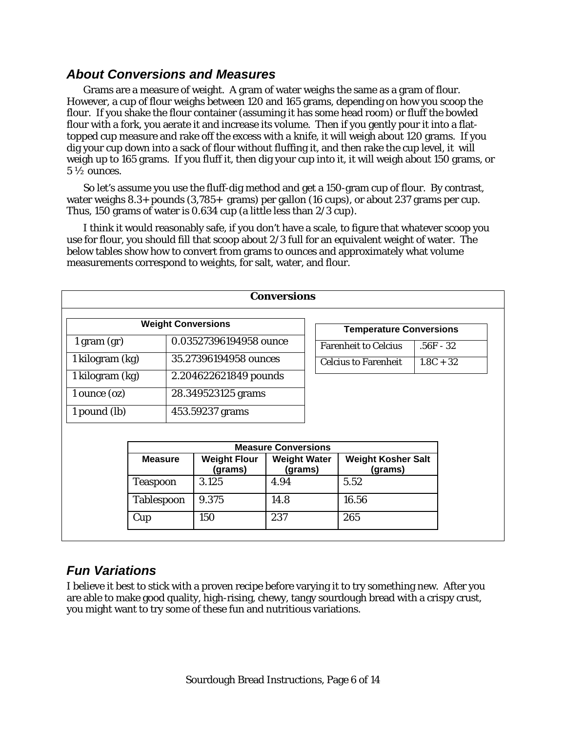#### *About Conversions and Measures*

Grams are a measure of weight. A gram of water weighs the same as a gram of flour. However, a cup of flour weighs between 120 and 165 grams, depending on how you scoop the flour. If you shake the flour container (assuming it has some head room) or fluff the bowled flour with a fork, you aerate it and increase its volume. Then if you gently pour it into a flattopped cup measure and rake off the excess with a knife, it will weigh about 120 grams. If you dig your cup down into a sack of flour without fluffing it, and then rake the cup level, it will weigh up to 165 grams. If you fluff it, then dig your cup into it, it will weigh about 150 grams, or  $5\frac{1}{2}$  ounces.

So let's assume you use the fluff-dig method and get a 150-gram cup of flour. By contrast, water weighs 8.3+ pounds (3,785+ grams) per gallon (16 cups), or about 237 grams per cup. Thus, 150 grams of water is 0.634 cup (a little less than 2/3 cup).

I think it would reasonably safe, if you don't have a scale, to figure that whatever scoop you use for flour, you should fill that scoop about 2/3 full for an equivalent weight of water. The below tables show how to convert from grams to ounces and approximately what volume measurements correspond to weights, for salt, water, and flour.

| <b>Conversions</b>                                                                                                                                              |                            |                                |                                |  |                                      |             |  |  |  |  |
|-----------------------------------------------------------------------------------------------------------------------------------------------------------------|----------------------------|--------------------------------|--------------------------------|--|--------------------------------------|-------------|--|--|--|--|
|                                                                                                                                                                 |                            |                                | <b>Temperature Conversions</b> |  |                                      |             |  |  |  |  |
| $1$ gram $(gr)$                                                                                                                                                 |                            |                                |                                |  | <b>Farenheit to Celcius</b>          | $.56F - 32$ |  |  |  |  |
| 1 kilogram (kg)                                                                                                                                                 |                            |                                |                                |  | <b>Celcius to Farenheit</b>          | $1.8C + 32$ |  |  |  |  |
| 1 kilogram (kg)                                                                                                                                                 |                            |                                |                                |  |                                      |             |  |  |  |  |
| 1 ounce (oz)                                                                                                                                                    |                            | 28.349523125 grams             |                                |  |                                      |             |  |  |  |  |
| 1 pound (lb)                                                                                                                                                    |                            | 453.59237 grams                |                                |  |                                      |             |  |  |  |  |
|                                                                                                                                                                 |                            |                                |                                |  |                                      |             |  |  |  |  |
|                                                                                                                                                                 | <b>Measure Conversions</b> |                                |                                |  |                                      |             |  |  |  |  |
|                                                                                                                                                                 |                            | <b>Weight Flour</b><br>(grams) | <b>Weight Water</b><br>(grams) |  | <b>Weight Kosher Salt</b><br>(grams) |             |  |  |  |  |
|                                                                                                                                                                 |                            | 3.125                          | 4.94                           |  | 5.52                                 |             |  |  |  |  |
|                                                                                                                                                                 |                            | 9.375                          | 14.8                           |  | 16.56                                |             |  |  |  |  |
| Cup                                                                                                                                                             |                            | 150                            | 237                            |  | 265                                  |             |  |  |  |  |
| <b>Weight Conversions</b><br>0.03527396194958 ounce<br>35.27396194958 ounces<br>2.204622621849 pounds<br><b>Measure</b><br><b>Teaspoon</b><br><b>Tablespoon</b> |                            |                                |                                |  |                                      |             |  |  |  |  |

### *Fun Variations*

I believe it best to stick with a proven recipe before varying it to try something new. After you are able to make good quality, high-rising, chewy, tangy sourdough bread with a crispy crust, you might want to try some of these fun and nutritious variations.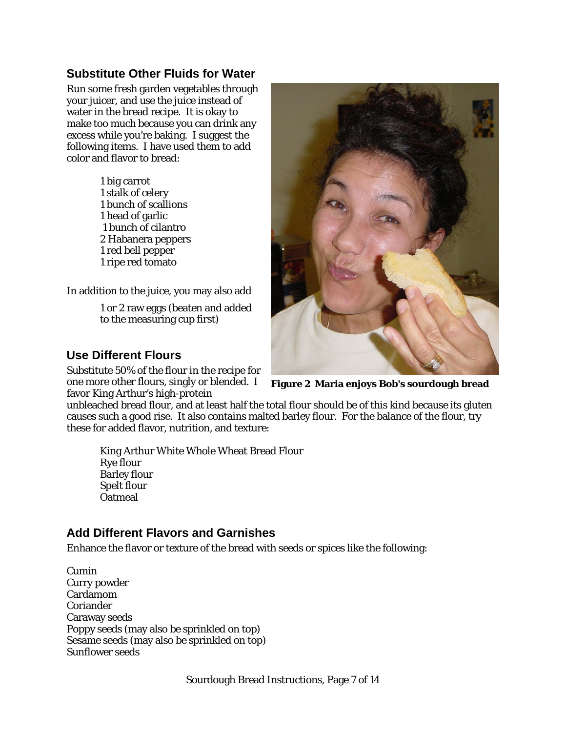### **Substitute Other Fluids for Water**

Run some fresh garden vegetables through your juicer, and use the juice instead of water in the bread recipe. It is okay to make too much because you can drink any excess while you're baking. I suggest the following items. I have used them to add color and flavor to bread:

> 1 big carrot 1 stalk of celery 1 bunch of scallions 1 head of garlic 1 bunch of cilantro 2 Habanera peppers 1 red bell pepper 1 ripe red tomato

In addition to the juice, you may also add

1 or 2 raw eggs (beaten and added to the measuring cup first)



#### **Use Different Flours**

Substitute 50% of the flour in the recipe for one more other flours, singly or blended. I favor King Arthur's high-protein

**Figure 2 Maria enjoys Bob's sourdough bread**

unbleached bread flour, and at least half the total flour should be of this kind because its gluten causes such a good rise. It also contains malted barley flour. For the balance of the flour, try these for added flavor, nutrition, and texture:

King Arthur White Whole Wheat Bread Flour Rye flour Barley flour Spelt flour **Oatmeal** 

### **Add Different Flavors and Garnishes**

Enhance the flavor or texture of the bread with seeds or spices like the following:

Cumin Curry powder Cardamom Coriander Caraway seeds Poppy seeds (may also be sprinkled on top) Sesame seeds (may also be sprinkled on top) Sunflower seeds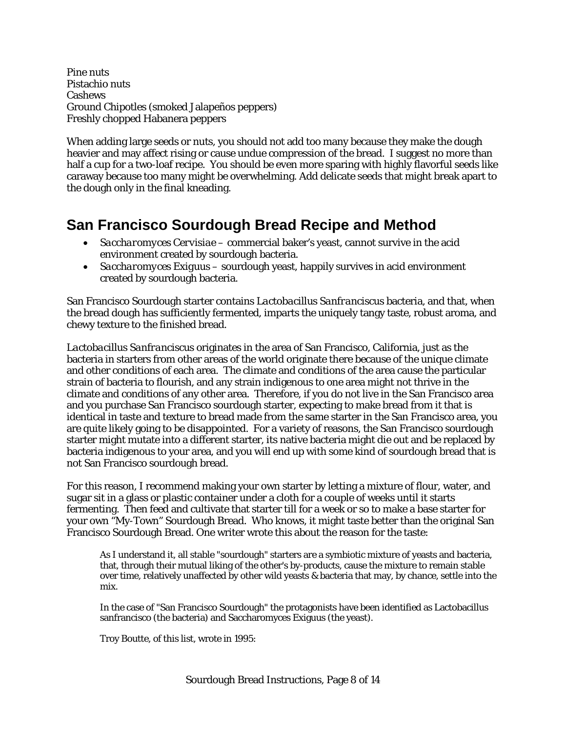Pine nuts Pistachio nuts Cashews Ground Chipotles (smoked Jalapeños peppers) Freshly chopped Habanera peppers

When adding large seeds or nuts, you should not add too many because they make the dough heavier and may affect rising or cause undue compression of the bread. I suggest no more than half a cup for a two-loaf recipe. You should be even more sparing with highly flavorful seeds like caraway because too many might be overwhelming. Add delicate seeds that might break apart to the dough only in the final kneading.

# **San Francisco Sourdough Bread Recipe and Method**

- *Saccharomyces Cervisiae* commercial baker's yeast, cannot survive in the acid environment created by sourdough bacteria.
- *Saccharomyces Exiguus* sourdough yeast, happily survives in acid environment created by sourdough bacteria.

San Francisco Sourdough starter contains *Lactobacillus Sanfranciscus* bacteria, and that, when the bread dough has sufficiently fermented, imparts the uniquely tangy taste, robust aroma, and chewy texture to the finished bread.

*Lactobacillus Sanfranciscus* originates in the area of San Francisco, California, just as the bacteria in starters from other areas of the world originate there because of the unique climate and other conditions of each area. The climate and conditions of the area cause the particular strain of bacteria to flourish, and any strain indigenous to one area might not thrive in the climate and conditions of any other area. Therefore, if you do not live in the San Francisco area and you purchase San Francisco sourdough starter, expecting to make bread from it that is identical in taste and texture to bread made from the same starter in the San Francisco area, you are quite likely going to be disappointed. For a variety of reasons, the San Francisco sourdough starter might mutate into a different starter, its native bacteria might die out and be replaced by bacteria indigenous to your area, and you will end up with some kind of sourdough bread that is not San Francisco sourdough bread.

For this reason, I recommend making your own starter by letting a mixture of flour, water, and sugar sit in a glass or plastic container under a cloth for a couple of weeks until it starts fermenting. Then feed and cultivate that starter till for a week or so to make a base starter for your own "My-Town" Sourdough Bread. Who knows, it might taste better than the original San Francisco Sourdough Bread. One writer wrote this about the reason for the taste:

As I understand it, all stable "sourdough" starters are a symbiotic mixture of yeasts and bacteria, that, through their mutual liking of the other's by-products, cause the mixture to remain stable over time, relatively unaffected by other wild yeasts & bacteria that may, by chance, settle into the mix.

In the case of "San Francisco Sourdough" the protagonists have been identified as Lactobacillus sanfrancisco (the bacteria) and Saccharomyces Exiguus (the yeast).

Troy Boutte, of this list, wrote in 1995: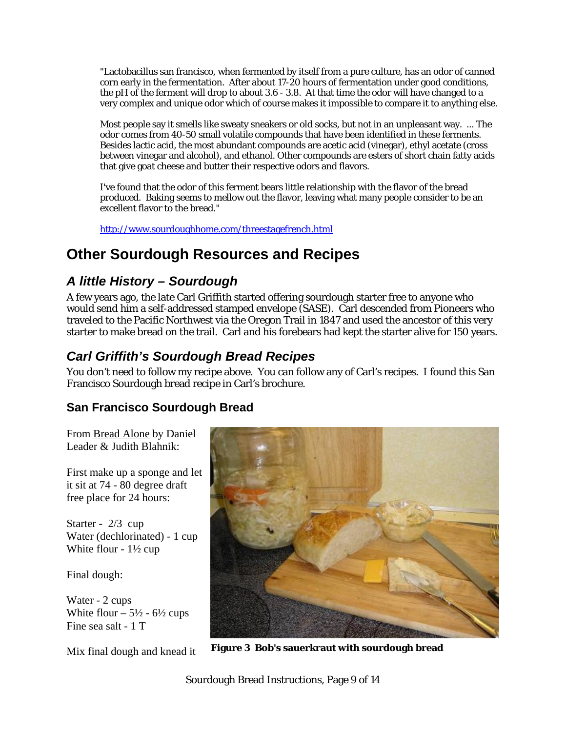"Lactobacillus san francisco, when fermented by itself from a pure culture, has an odor of canned corn early in the fermentation. After about 17-20 hours of fermentation under good conditions, the pH of the ferment will drop to about 3.6 - 3.8. At that time the odor will have changed to a very complex and unique odor which of course makes it impossible to compare it to anything else.

Most people say it smells like sweaty sneakers or old socks, but not in an unpleasant way. ... The odor comes from 40-50 small volatile compounds that have been identified in these ferments. Besides lactic acid, the most abundant compounds are acetic acid (vinegar), ethyl acetate (cross between vinegar and alcohol), and ethanol. Other compounds are esters of short chain fatty acids that give goat cheese and butter their respective odors and flavors.

I've found that the odor of this ferment bears little relationship with the flavor of the bread produced. Baking seems to mellow out the flavor, leaving what many people consider to be an excellent flavor to the bread."

<http://www.sourdoughhome.com/threestagefrench.html>

# **Other Sourdough Resources and Recipes**

# *A little History – Sourdough*

A few years ago, the late Carl Griffith started offering sourdough starter free to anyone who would send him a self-addressed stamped envelope (SASE). Carl descended from Pioneers who traveled to the Pacific Northwest via the Oregon Trail in 1847 and used the ancestor of this very starter to make bread on the trail. Carl and his forebears had kept the starter alive for 150 years.

# *Carl Griffith's Sourdough Bread Recipes*

You don't need to follow my recipe above. You can follow any of Carl's recipes. I found this San Francisco Sourdough bread recipe in Carl's brochure.

## **San Francisco Sourdough Bread**

From Bread Alone by Daniel Leader & Judith Blahnik:

First make up a sponge and l et it sit at 74 - 80 degree draft free place for 24 hours:

Starter - 2/3 cup Water (dechlorinated) - 1 cup White flour - 1½ cup

Final dough:

Water - 2 cups White flour  $-5\frac{1}{2} - 6\frac{1}{2}$  cups Fine sea salt - 1 T



Mix final dough and knead it **Figure 3 Bob's sauerkraut with sourdough bread**

Sourdough Bread Instructions, Page 9 of 14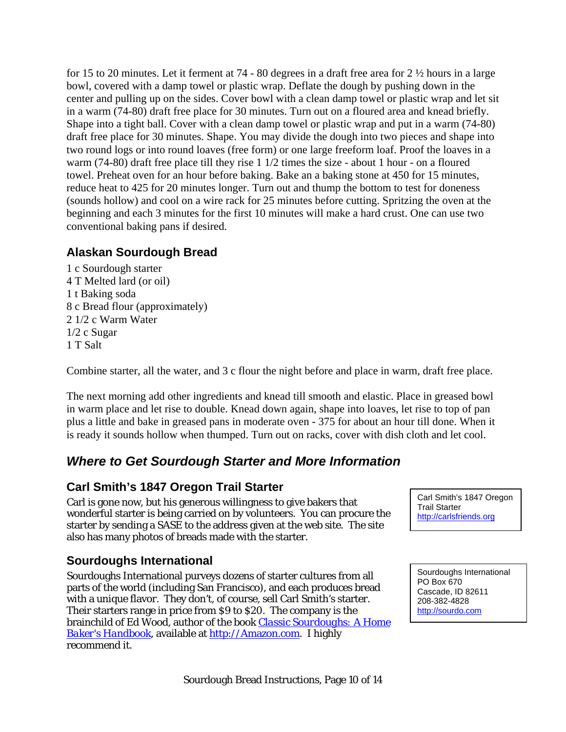for 15 to 20 minutes. Let it ferment at 74 - 80 degrees in a draft free area for 2 ½ hours in a large bowl, covered with a damp towel or plastic wrap. Deflate the dough by pushing down in the center and pulling up on the sides. Cover bowl with a clean damp towel or plastic wrap and let sit in a warm (74-80) draft free place for 30 minutes. Turn out on a floured area and knead briefly. Shape into a tight ball. Cover with a clean damp towel or plastic wrap and put in a warm (74-80) draft free place for 30 minutes. Shape. You may divide the dough into two pieces and shape into two round logs or into round loaves (free form) or one large freeform loaf. Proof the loaves in a warm (74-80) draft free place till they rise 1 1/2 times the size - about 1 hour - on a floured towel. Preheat oven for an hour before baking. Bake an a baking stone at 450 for 15 minutes, reduce heat to 425 for 20 minutes longer. Turn out and thump the bottom to test for doneness (sounds hollow) and cool on a wire rack for 25 minutes before cutting. Spritzing the oven at the beginning and each 3 minutes for the first 10 minutes will make a hard crust. One can use two conventional baking pans if desired.

### **Alaskan Sourdough Bread**

1 c Sourdough starter 4 T Melted lard (or oil) 1 t Baking soda 8 c Bread flour (approximately) 2 1/2 c Warm Water 1/2 c Sugar 1 T Salt

Combine starter, all the water, and 3 c flour the night before and place in warm, draft free place.

The next morning add other ingredients and knead till smooth and elastic. Place in greased bowl in warm place and let rise to double. Knead down again, shape into loaves, let rise to top of pan plus a little and bake in greased pans in moderate oven - 375 for about an hour till done. When it is ready it sounds hollow when thumped. Turn out on racks, cover with dish cloth and let cool.

# *Where to Get Sourdough Starter and More Information*

### **Carl Smith's 1847 Oregon Trail Starter**

Carl is gone now, but his generous willingness to give bakers that wonderful starter is being carried on by volunteers. You can procure the starter by sending a SASE to the address given at the web site. The site also has many photos of breads made with the starter.

## **Sourdoughs International**

Sourdoughs International purveys dozens of starter cultures from all parts of the world (including San Francisco), and each produces bread with a unique flavor. They don't, of course, sell Carl Smith's starter. Their starters range in price from \$9 to \$20. The company is the brainchild of Ed Wood, author of the book *[Classic Sourdoughs: A Home](http://www.amazon.com/exec/obidos/tg/detail/-/1580083447/qid=1110587639/sr=8-2/ref=sr_8_xs_ap_i2_xgl14/103-5688766-5102213?v=glance&s=books&n=507846)  [Baker's Handbook](http://www.amazon.com/exec/obidos/tg/detail/-/1580083447/qid=1110587639/sr=8-2/ref=sr_8_xs_ap_i2_xgl14/103-5688766-5102213?v=glance&s=books&n=507846),* available at [http://Amazon.com](http://amazon.com/). I highly recommend it.

Carl Smith's 1847 Oregon Trail Starter http://carlsfriends.org

Sourdoughs International PO Box 670 Cascade, ID 82611 208-382-4828 http://sourdo.com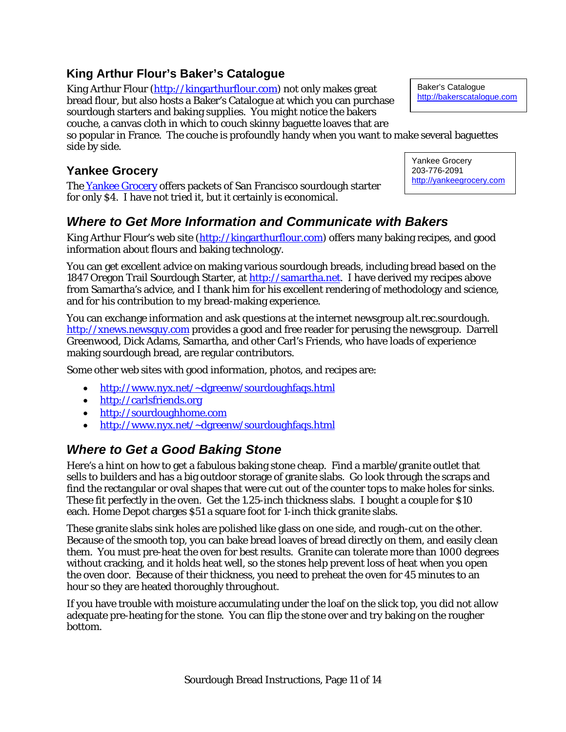### **King Arthur Flour's Baker's Catalogue**

King Arthur Flour [\(http://kingarthurflour.com\)](http://kingarthurflour.com/) not only makes great Baker's Catalogue.com<br>http://bakerscatalogue.com bread flour, but also hosts a Baker's Catalogue at which you can purchase sourdough starters and baking supplies. You might notice the bakers couche, a canvas cloth in which to couch skinny baguette loaves that are

so popular in France. The couche is profoundly handy when you want to m ake several baguettes side by side.

**Yankee Grocery**<br>The <u>Yankee Grocery</u> offers packets of San Francisco sourdough starter http://<u>yankeegrocery.com</u> for only \$4. I have not tried it, but it certainly is economical.

# *Where to Get More Information and Communicate with Bakers*

King Arthur Flour's web site ([http://kingarthurflour.com](http://kingarthurflour.com/)) offers many baking recipes, and good information about flours and baking technology.

You can get excellent advice on making various sourdough breads, including bread based on the 1847 Oregon Trail Sourdough Starter, at [http://samartha.net.](http://samartha.net/) I have derived my recipes above from Samartha's advice, and I thank him for his excellent rendering of methodology and science, and for his contribution to my bread-making experience.

You can exchange information and ask questions at the internet newsgroup *alt.rec.sourdough*. [http://xnews.newsguy.com](http://xnews.newsguy.com/) provides a good and free reader for perusing the newsgroup. Darrell Greenwood, Dick Adams, Samartha, and other Carl's Friends, who have loads of experience making sourdough bread, are regular contributors.

Some other web sites with good information, photos, and recipes are:

- [http://www.nyx.net/~dgreenw/sourdoughfaqs.html](http://www.nyx.net/%7Edgreenw/sourdoughfaqs.html)
- [http://carlsfriends.org](http://carlsfriends.org/)
- [http://sourdoughhome.com](http://sourdoughhome.com/)
- [http://www.nyx.net/~dgreenw/sourdoughfaqs.html](http://www.nyx.net/%7Edgreenw/sourdoughfaqs.html)

## *Where to Get a Good Baking Stone*

Here's a hint on how to get a fabulous baking stone cheap. Find a marble/granite outlet that sells to builders and has a big outdoor storage of granite slabs. Go look through the scraps and find the rectangular or oval shapes that were cut out of the counter tops to make holes for sinks. These fit perfectly in the oven. Get the 1.25-inch thickness slabs. I bought a couple for \$10 each. Home Depot charges \$51 a square foot for 1-inch thick granite slabs.

These granite slabs sink holes are polished like glass on one side, and rough-cut on the other. Because of the smooth top, you can bake bread loaves of bread directly on them, and easily clean them. You must pre-heat the oven for best results. Granite can tolerate more than 1000 degrees without cracking, and it holds heat well, so the stones help prevent loss of heat when you open the oven door. Because of their thickness, you need to preheat the oven for 45 minutes to an hour so they are heated thoroughly throughout.

If you have trouble with moisture accumulating under the loaf on the slick top, you did not allow adequate pre-heating for the stone. You can flip the stone over and try baking on the rougher bottom.

Baker's Catalogue

Yankee Grocery 203-776-2091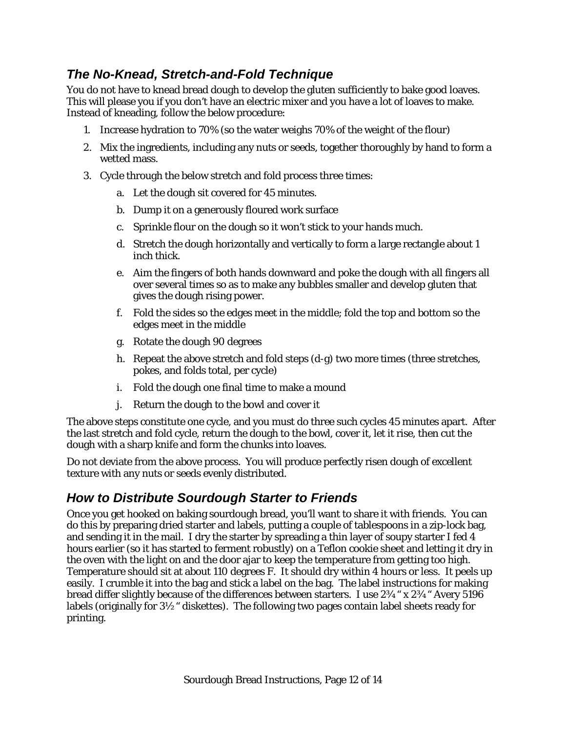# *The No-Knead, Stretch-and-Fold Technique*

You do not have to knead bread dough to develop the gluten sufficiently to bake good loaves. This will please you if you don't have an electric mixer and you have a lot of loaves to make. Instead of kneading, follow the below procedure:

- 1. Increase hydration to 70% (so the water weighs 70% of the weight of the flour)
- 2. Mix the ingredients, including any nuts or seeds, together thoroughly by hand to form a wetted mass.
- 3. Cycle through the below stretch and fold process three times:
	- a. Let the dough sit covered for 45 minutes.
	- b. Dump it on a generously floured work surface
	- c. Sprinkle flour on the dough so it won't stick to your hands much.
	- d. Stretch the dough horizontally and vertically to form a large rectangle about 1 inch thick.
	- e. Aim the fingers of both hands downward and poke the dough with all fingers all over several times so as to make any bubbles smaller and develop gluten that gives the dough rising power.
	- f. Fold the sides so the edges meet in the middle; fold the top and bottom so the edges meet in the middle
	- g. Rotate the dough 90 degrees
	- h. Repeat the above stretch and fold steps (d-g) two more times (three stretches, pokes, and folds total, per cycle)
	- i. Fold the dough one final time to make a mound
	- j. Return the dough to the bowl and cover it

The above steps constitute one cycle, and you must do three such cycles 45 minutes apart. After the last stretch and fold cycle, return the dough to the bowl, cover it, let it rise, then cut the dough with a sharp knife and form the chunks into loaves.

Do not deviate from the above process. You will produce perfectly risen dough of excellent texture with any nuts or seeds evenly distributed.

## *How to Distribute Sourdough Starter to Friends*

Once you get hooked on baking sourdough bread, you'll want to share it with friends. You can do this by preparing dried starter and labels, putting a couple of tablespoons in a zip-lock bag, and sending it in the mail. I dry the starter by spreading a thin layer of soupy starter I fed 4 hours earlier (so it has started to ferment robustly) on a Teflon cookie sheet and letting it dry in the oven with the light on and the door ajar to keep the temperature from getting too high. Temperature should sit at about 110 degrees F. It should dry within 4 hours or less. It peels up easily. I crumble it into the bag and stick a label on the bag. The label instructions for making bread differ slightly because of the differences between starters. I use 23/4" x 23/4" Avery 5196 labels (originally for 3½" diskettes). The following two pages contain label sheets ready for printing.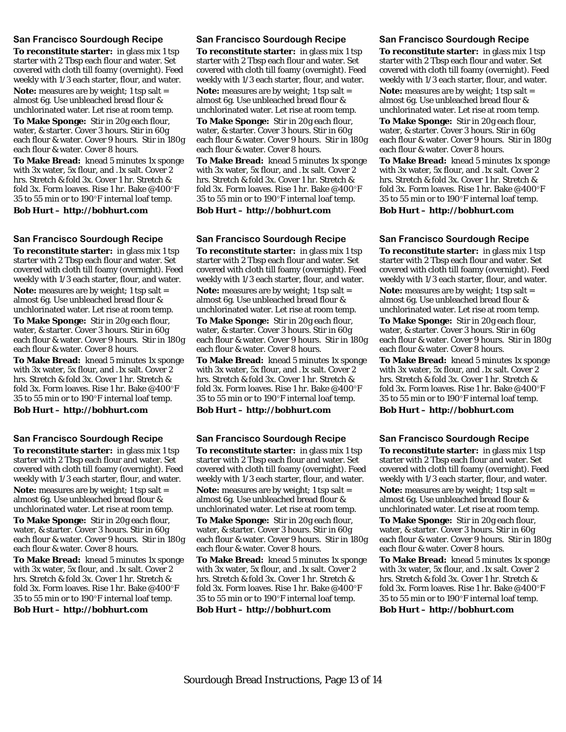#### **San Francisco Sourdough Recipe**

**To reconstitute starter:** in glass mix 1 tsp starter with 2 Tbsp each flour and water. Set covered with cloth till foamy (overnight). Feed weekly with 1/3 each starter, flour, and water.

**Note:** measures are by weight; 1 tsp salt = almost 6g. Use unbleached bread flour & unchlorinated water. Let rise at room temp.

**To Make Sponge:** Stir in 20g each flour, water, & starter. Cover 3 hours. Stir in 60g each flour & water. Cover 9 hours. Stir in 180g each flour & water. Cover 8 hours.

**To Make Bread:** knead 5 minutes 1x sponge with 3x water, 5x flour, and .1x salt. Cover 2 hrs. Stretch & fold 3x. Cover 1 hr. Stretch & fold 3x. Form loaves. Rise 1 hr. Bake @400°F 35 to 55 min or to 190°F internal loaf temp.

**Bob Hurt – http://bobhurt.com**

**San Francisco Sourdough Recipe To reconstitute starter:** in glass mix 1 tsp starter with 2 Tbsp each flour and water. Set covered with cloth till foamy (overnight). Feed weekly with 1/3 each starter, flour, and water. **Note:** measures are by weight; 1 tsp salt = almost 6g. Use unbleached bread flour & unchlorinated water. Let rise at room temp. **To Make Sponge:** Stir in 20g each flour,

water, & starter. Cover 3 hours. Stir in 60g each flour & water. Cover 9 hours. Stir in 180g each flour & water. Cover 8 hours.

**To Make Bread:** knead 5 minutes 1x sponge with 3x water, 5x flour, and .1x salt. Cover 2 hrs. Stretch & fold 3x. Cover 1 hr. Stretch & fold 3x. Form loaves. Rise 1 hr. Bake @400°F 35 to 55 min or to 190°F internal loaf temp.

**Bob Hurt – http://bobhurt.com**

**San Francisco Sourdough Recipe** 

**To reconstitute starter:** in glass mix 1 tsp starter with 2 Tbsp each flour and water. Set covered with cloth till foamy (overnight). Feed weekly with 1/3 each starter, flour, and water. **Note:** measures are by weight; 1 tsp salt = almost 6g. Use unbleached bread flour & unchlorinated water. Let rise at room temp. **To Make Sponge:** Stir in 20g each flour, water, & starter. Cover 3 hours. Stir in 60g each flour & water. Cover 9 hours. Stir in 180g each flour & water. Cover 8 hours.

**To Make Bread:** knead 5 minutes 1x sponge with 3x water, 5x flour, and .1x salt. Cover 2 hrs. Stretch & fold 3x. Cover 1 hr. Stretch & fold 3x. Form loaves. Rise 1 hr. Bake @400°F 35 to 55 min or to 190°F internal loaf temp.

**Bob Hurt – http://bobhurt.com**

#### **San Francisco Sourdough Recipe**

**To reconstitute starter:** in glass mix 1 tsp starter with 2 Tbsp each flour and water. Set covered with cloth till foamy (overnight). Feed weekly with 1/3 each starter, flour, and water. **Note:** measures are by weight; 1 tsp salt = almost 6g. Use unbleached bread flour & unchlorinated water. Let rise at room temp.

**To Make Sponge:** Stir in 20g each flour, water, & starter. Cover 3 hours. Stir in 60g each flour & water. Cover 9 hours. Stir in 180g each flour & water. Cover 8 hours.

**To Make Bread:** knead 5 minutes 1x sponge with 3x water, 5x flour, and .1x salt. Cover 2 hrs. Stretch & fold 3x. Cover 1 hr. Stretch & fold 3x. Form loaves. Rise 1 hr. Bake @400°F 35 to 55 min or to 190°F internal loaf temp.

**Bob Hurt – http://bobhurt.com**

**San Francisco Sourdough Recipe To reconstitute starter:** in glass mix 1 tsp starter with 2 Tbsp each flour and water. Set covered with cloth till foamy (overnight). Feed weekly with 1/3 each starter, flour, and water. **Note:** measures are by weight; 1 tsp salt = almost 6g. Use unbleached bread flour & unchlorinated water. Let rise at room temp. **To Make Sponge:** Stir in 20g each flour, water, & starter. Cover 3 hours. Stir in 60g each flour & water. Cover 9 hours. Stir in 180g each flour & water. Cover 8 hours. **To Make Bread:** knead 5 minutes 1x sponge with 3x water, 5x flour, and .1x salt. Cover 2

hrs. Stretch & fold 3x. Cover 1 hr. Stretch & fold 3x. Form loaves. Rise 1 hr. Bake @400°F 35 to 55 min or to 190°F internal loaf temp.

**Bob Hurt – http://bobhurt.com**

**San Francisco Sourdough Recipe To reconstitute starter:** in glass mix 1 tsp starter with 2 Tbsp each flour and water. Set covered with cloth till foamy (overnight). Feed weekly with 1/3 each starter, flour, and water. **Note:** measures are by weight; 1 tsp salt = almost 6g. Use unbleached bread flour & unchlorinated water. Let rise at room temp. **To Make Sponge:** Stir in 20g each flour, water, & starter. Cover 3 hours. Stir in 60g each flour & water. Cover 9 hours. Stir in 180g each flour & water. Cover 8 hours. **To Make Bread:** knead 5 minutes 1x sponge with 3x water, 5x flour, and .1x salt. Cover 2 hrs. Stretch & fold 3x. Cover 1 hr. Stretch & fold 3x. Form loaves. Rise 1 hr. Bake @400°F 35 to 55 min or to 190°F internal loaf temp.

**Bob Hurt – http://bobhurt.com**

#### **San Francisco Sourdough Recipe**

**To reconstitute starter:** in glass mix 1 tsp starter with 2 Tbsp each flour and water. Set covered with cloth till foamy (overnight). Feed weekly with 1/3 each starter, flour, and water. **Note:** measures are by weight; 1 tsp salt = almost 6g. Use unbleached bread flour &

unchlorinated water. Let rise at room temp. **To Make Sponge:** Stir in 20g each flour,

water, & starter. Cover 3 hours. Stir in 60g each flour & water. Cover 9 hours. Stir in 180g each flour & water. Cover 8 hours.

**To Make Bread:** knead 5 minutes 1x sponge with 3x water, 5x flour, and .1x salt. Cover 2 hrs. Stretch & fold 3x. Cover 1 hr. Stretch & fold 3x. Form loaves. Rise 1 hr. Bake @400°F 35 to 55 min or to 190°F internal loaf temp.

**Bob Hurt – http://bobhurt.com**

**San Francisco Sourdough Recipe To reconstitute starter:** in glass mix 1 tsp starter with 2 Tbsp each flour and water. Set covered with cloth till foamy (overnight). Feed weekly with 1/3 each starter, flour, and water. **Note:** measures are by weight; 1 tsp salt = almost 6g. Use unbleached bread flour & unchlorinated water. Let rise at room temp.

**To Make Sponge:** Stir in 20g each flour, water, & starter. Cover 3 hours. Stir in 60g each flour & water. Cover 9 hours. Stir in 180g each flour & water. Cover 8 hours.

**To Make Bread:** knead 5 minutes 1x sponge with 3x water, 5x flour, and .1x salt. Cover 2 hrs. Stretch & fold 3x. Cover 1 hr. Stretch & fold 3x. Form loaves. Rise 1 hr. Bake @400°F 35 to 55 min or to 190°F internal loaf temp.

**Bob Hurt – http://bobhurt.com**

**San Francisco Sourdough Recipe To reconstitute starter:** in glass mix 1 tsp starter with 2 Tbsp each flour and water. Set covered with cloth till foamy (overnight). Feed weekly with 1/3 each starter, flour, and water. **Note:** measures are by weight; 1 tsp salt = almost 6g. Use unbleached bread flour & unchlorinated water. Let rise at room temp. **To Make Sponge:** Stir in 20g each flour, water, & starter. Cover 3 hours. Stir in 60g each flour & water. Cover 9 hours. Stir in 180g each flour & water. Cover 8 hours.

**To Make Bread:** knead 5 minutes 1x sponge with 3x water, 5x flour, and .1x salt. Cover 2 hrs. Stretch & fold 3x. Cover 1 hr. Stretch & fold 3x. Form loaves. Rise 1 hr. Bake @400°F 35 to 55 min or to 190°F internal loaf temp.

**Bob Hurt – http://bobhurt.com**